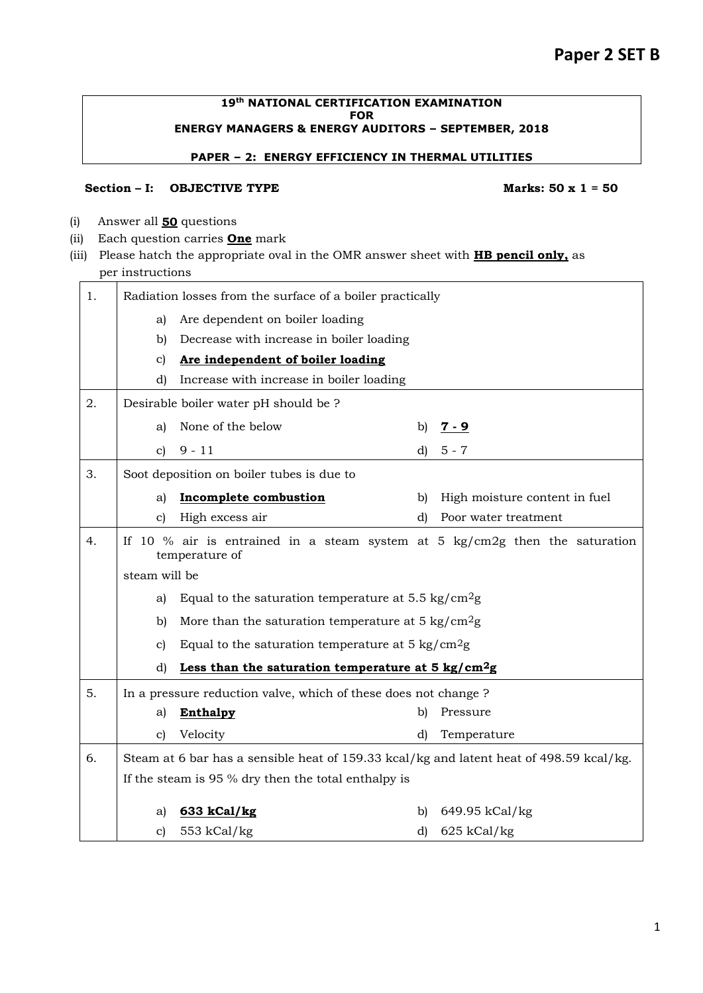#### **19th NATIONAL CERTIFICATION EXAMINATION FOR ENERGY MANAGERS & ENERGY AUDITORS – SEPTEMBER, 2018**

### **PAPER – 2: ENERGY EFFICIENCY IN THERMAL UTILITIES**

### Section – I: **OBJECTIVE TYPE** Marks: 50 x 1 = 50

- (i) Answer all **50** questions
- (ii) Each question carries **One** mark
- (iii) Please hatch the appropriate oval in the OMR answer sheet with **HB pencil only,** as per instructions

| 1. | Radiation losses from the surface of a boiler practically                  |                                                                                               |    |                               |  |
|----|----------------------------------------------------------------------------|-----------------------------------------------------------------------------------------------|----|-------------------------------|--|
|    | Are dependent on boiler loading<br>a)                                      |                                                                                               |    |                               |  |
|    | b)                                                                         | Decrease with increase in boiler loading                                                      |    |                               |  |
|    | c)                                                                         | Are independent of boiler loading                                                             |    |                               |  |
|    | d)                                                                         | Increase with increase in boiler loading                                                      |    |                               |  |
| 2. |                                                                            | Desirable boiler water pH should be ?                                                         |    |                               |  |
|    | a)                                                                         | None of the below                                                                             | b) | <u>7 - 9</u>                  |  |
|    | $\mathbf{c}$                                                               | $9 - 11$                                                                                      | d) | $5 - 7$                       |  |
| 3. |                                                                            | Soot deposition on boiler tubes is due to                                                     |    |                               |  |
|    | a)                                                                         | <b>Incomplete combustion</b>                                                                  | b) | High moisture content in fuel |  |
|    | c)                                                                         | High excess air                                                                               | d) | Poor water treatment          |  |
| 4. |                                                                            | If 10 % air is entrained in a steam system at 5 kg/cm2g then the saturation<br>temperature of |    |                               |  |
|    | steam will be                                                              |                                                                                               |    |                               |  |
|    | Equal to the saturation temperature at $5.5 \text{ kg/cm}^2\text{g}$<br>a) |                                                                                               |    |                               |  |
|    | More than the saturation temperature at $5 \text{ kg/cm}^2$ g<br>b)        |                                                                                               |    |                               |  |
|    | Equal to the saturation temperature at $5 \text{ kg/cm}^2$ g<br>c)         |                                                                                               |    |                               |  |
|    | d)                                                                         | Less than the saturation temperature at $5 \text{ kg/cm}^2$ g                                 |    |                               |  |
| 5. |                                                                            | In a pressure reduction valve, which of these does not change ?                               |    |                               |  |
|    | a)                                                                         | <b>Enthalpy</b>                                                                               | b) | Pressure                      |  |
|    | $\mathbf{c}$                                                               | Velocity                                                                                      | d) | Temperature                   |  |
| 6. |                                                                            | Steam at 6 bar has a sensible heat of 159.33 kcal/kg and latent heat of 498.59 kcal/kg.       |    |                               |  |
|    |                                                                            | If the steam is 95 % dry then the total enthalpy is                                           |    |                               |  |
|    | a)                                                                         |                                                                                               | b) | 649.95 kCal/kg                |  |
|    | $\mathbf{c})$                                                              | 633 kCal/kg<br>553 kCal/kg                                                                    | d) | $625$ kCal/kg                 |  |
|    |                                                                            |                                                                                               |    |                               |  |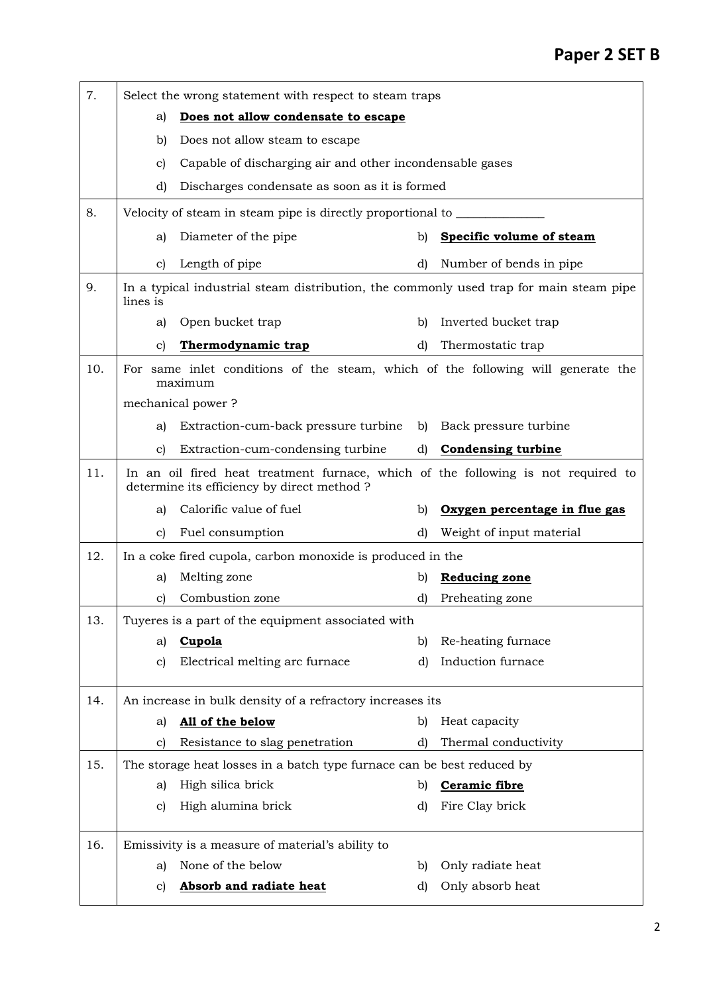| 7.  | Select the wrong statement with respect to steam traps |                                                                                                                                  |              |                               |  |
|-----|--------------------------------------------------------|----------------------------------------------------------------------------------------------------------------------------------|--------------|-------------------------------|--|
|     | a)                                                     | Does not allow condensate to escape                                                                                              |              |                               |  |
|     | b)                                                     | Does not allow steam to escape                                                                                                   |              |                               |  |
|     | C)                                                     | Capable of discharging air and other incondensable gases                                                                         |              |                               |  |
|     | d)                                                     | Discharges condensate as soon as it is formed.                                                                                   |              |                               |  |
| 8.  |                                                        | Velocity of steam in steam pipe is directly proportional to                                                                      |              |                               |  |
|     | a)                                                     | Diameter of the pipe                                                                                                             | b)           | Specific volume of steam      |  |
|     | c)                                                     | Length of pipe                                                                                                                   | d)           | Number of bends in pipe       |  |
| 9.  | lines is                                               | In a typical industrial steam distribution, the commonly used trap for main steam pipe                                           |              |                               |  |
|     | a)                                                     | Open bucket trap                                                                                                                 | b)           | Inverted bucket trap          |  |
|     | C)                                                     | Thermodynamic trap                                                                                                               | d)           | Thermostatic trap             |  |
| 10. |                                                        | For same inlet conditions of the steam, which of the following will generate the<br>maximum                                      |              |                               |  |
|     |                                                        | mechanical power?                                                                                                                |              |                               |  |
|     | a)                                                     | Extraction-cum-back pressure turbine                                                                                             | b)           | Back pressure turbine         |  |
|     | C)                                                     | Extraction-cum-condensing turbine                                                                                                | $\mathbf{d}$ | <b>Condensing turbine</b>     |  |
| 11. |                                                        | In an oil fired heat treatment furnace, which of the following is not required to<br>determine its efficiency by direct method ? |              |                               |  |
|     | a)                                                     | Calorific value of fuel                                                                                                          | b)           | Oxygen percentage in flue gas |  |
|     | C)                                                     | Fuel consumption                                                                                                                 | d)           | Weight of input material      |  |
| 12. |                                                        | In a coke fired cupola, carbon monoxide is produced in the                                                                       |              |                               |  |
|     | a)                                                     | Melting zone                                                                                                                     | b)           | <b>Reducing zone</b>          |  |
|     | C)                                                     | Combustion zone                                                                                                                  | d)           | Preheating zone               |  |
| 13. |                                                        | Tuyeres is a part of the equipment associated with                                                                               |              |                               |  |
|     | a)                                                     | Cupola                                                                                                                           | b)           | Re-heating furnace            |  |
|     | C)                                                     | Electrical melting arc furnace                                                                                                   | d)           | Induction furnace             |  |
| 14. |                                                        |                                                                                                                                  |              |                               |  |
|     |                                                        | An increase in bulk density of a refractory increases its                                                                        |              |                               |  |
|     | a)                                                     | All of the below                                                                                                                 | b)           | Heat capacity                 |  |
|     | C)                                                     | Resistance to slag penetration                                                                                                   | d)           | Thermal conductivity          |  |
| 15. |                                                        | The storage heat losses in a batch type furnace can be best reduced by                                                           |              |                               |  |
|     | a)                                                     | High silica brick                                                                                                                | b)           | Ceramic fibre                 |  |
|     | c)                                                     | High alumina brick                                                                                                               | d)           | Fire Clay brick               |  |
| 16. |                                                        | Emissivity is a measure of material's ability to                                                                                 |              |                               |  |
|     | a)                                                     | None of the below                                                                                                                | b)           | Only radiate heat             |  |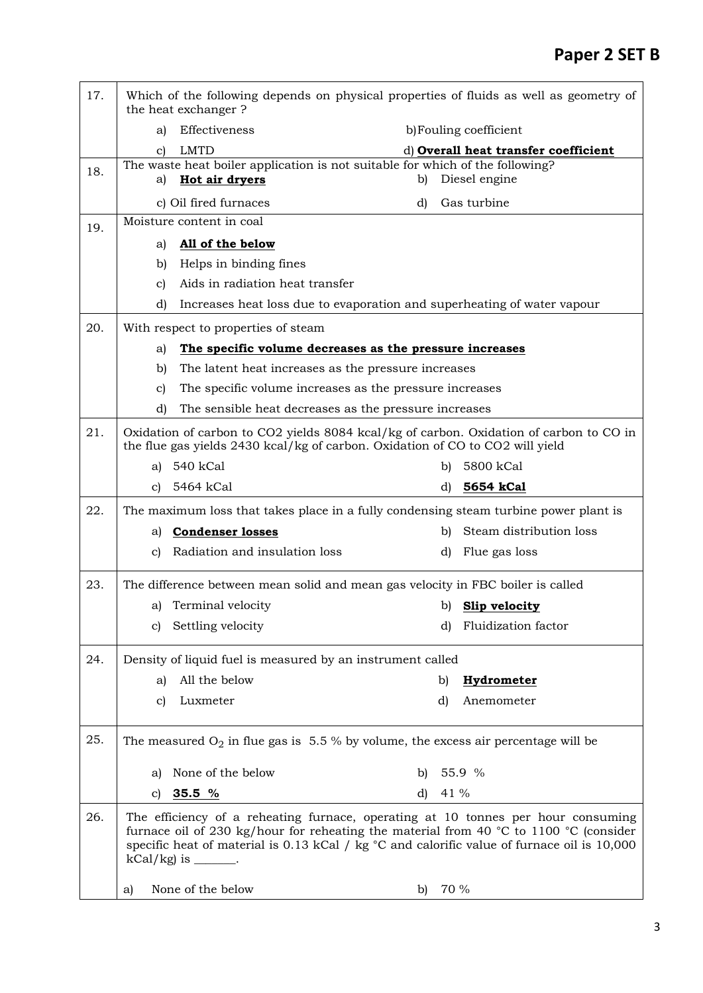| 17. | Which of the following depends on physical properties of fluids as well as geometry of<br>the heat exchanger? |                                                                                                                                                                         |    |      |                                                                                                                                                                                                                                                                              |
|-----|---------------------------------------------------------------------------------------------------------------|-------------------------------------------------------------------------------------------------------------------------------------------------------------------------|----|------|------------------------------------------------------------------------------------------------------------------------------------------------------------------------------------------------------------------------------------------------------------------------------|
|     | Effectiveness<br>a)                                                                                           |                                                                                                                                                                         |    |      | b) Fouling coefficient                                                                                                                                                                                                                                                       |
|     | <b>LMTD</b><br>C)                                                                                             |                                                                                                                                                                         |    |      | d) Overall heat transfer coefficient                                                                                                                                                                                                                                         |
| 18. | Hot air dryers<br>a)                                                                                          | The waste heat boiler application is not suitable for which of the following?                                                                                           | b) |      | Diesel engine                                                                                                                                                                                                                                                                |
|     | c) Oil fired furnaces                                                                                         |                                                                                                                                                                         | d) |      | Gas turbine                                                                                                                                                                                                                                                                  |
| 19. | Moisture content in coal                                                                                      |                                                                                                                                                                         |    |      |                                                                                                                                                                                                                                                                              |
|     | All of the below<br>a)                                                                                        |                                                                                                                                                                         |    |      |                                                                                                                                                                                                                                                                              |
|     | b)                                                                                                            | Helps in binding fines                                                                                                                                                  |    |      |                                                                                                                                                                                                                                                                              |
|     | $\mathbf{c}$                                                                                                  | Aids in radiation heat transfer                                                                                                                                         |    |      |                                                                                                                                                                                                                                                                              |
|     | d)                                                                                                            |                                                                                                                                                                         |    |      | Increases heat loss due to evaporation and superheating of water vapour                                                                                                                                                                                                      |
| 20. | With respect to properties of steam                                                                           |                                                                                                                                                                         |    |      |                                                                                                                                                                                                                                                                              |
|     | a)                                                                                                            | The specific volume decreases as the pressure increases                                                                                                                 |    |      |                                                                                                                                                                                                                                                                              |
|     | b)                                                                                                            | The latent heat increases as the pressure increases                                                                                                                     |    |      |                                                                                                                                                                                                                                                                              |
|     | $\mathbf{c}$                                                                                                  | The specific volume increases as the pressure increases                                                                                                                 |    |      |                                                                                                                                                                                                                                                                              |
|     | d)                                                                                                            | The sensible heat decreases as the pressure increases                                                                                                                   |    |      |                                                                                                                                                                                                                                                                              |
| 21. |                                                                                                               | Oxidation of carbon to CO2 yields 8084 kcal/kg of carbon. Oxidation of carbon to CO in<br>the flue gas yields 2430 kcal/kg of carbon. Oxidation of CO to CO2 will yield |    |      |                                                                                                                                                                                                                                                                              |
|     | 540 kCal<br>a)                                                                                                |                                                                                                                                                                         |    | b)   | 5800 kCal                                                                                                                                                                                                                                                                    |
|     | 5464 kCal<br>C)                                                                                               |                                                                                                                                                                         |    | d)   | 5654 kCal                                                                                                                                                                                                                                                                    |
| 22. |                                                                                                               |                                                                                                                                                                         |    |      | The maximum loss that takes place in a fully condensing steam turbine power plant is                                                                                                                                                                                         |
|     | <b>Condenser losses</b><br>a)                                                                                 |                                                                                                                                                                         |    | b)   | Steam distribution loss                                                                                                                                                                                                                                                      |
|     | c)                                                                                                            | Radiation and insulation loss                                                                                                                                           |    | d)   | Flue gas loss                                                                                                                                                                                                                                                                |
| 23. |                                                                                                               |                                                                                                                                                                         |    |      | The difference between mean solid and mean gas velocity in FBC boiler is called                                                                                                                                                                                              |
|     | Terminal velocity<br>a)                                                                                       |                                                                                                                                                                         |    | b)   | Slip velocity                                                                                                                                                                                                                                                                |
|     | Settling velocity<br>$\mathbf{c}$                                                                             |                                                                                                                                                                         |    | d)   | <b>Fluidization factor</b>                                                                                                                                                                                                                                                   |
| 24. |                                                                                                               | Density of liquid fuel is measured by an instrument called                                                                                                              |    |      |                                                                                                                                                                                                                                                                              |
|     | All the below<br>a)                                                                                           |                                                                                                                                                                         |    | b)   | <b>Hydrometer</b>                                                                                                                                                                                                                                                            |
|     | Luxmeter<br>C)                                                                                                |                                                                                                                                                                         |    | d)   | Anemometer                                                                                                                                                                                                                                                                   |
|     |                                                                                                               |                                                                                                                                                                         |    |      |                                                                                                                                                                                                                                                                              |
| 25. |                                                                                                               |                                                                                                                                                                         |    |      | The measured $O_2$ in flue gas is 5.5% by volume, the excess air percentage will be                                                                                                                                                                                          |
|     | None of the below<br>a)                                                                                       |                                                                                                                                                                         | b) |      | 55.9 %                                                                                                                                                                                                                                                                       |
|     | 35.5%<br>C)                                                                                                   |                                                                                                                                                                         | d) | 41 % |                                                                                                                                                                                                                                                                              |
| 26. | $kCal/kg$ is ______.                                                                                          |                                                                                                                                                                         |    |      | The efficiency of a reheating furnace, operating at 10 tonnes per hour consuming<br>furnace oil of 230 kg/hour for reheating the material from 40 °C to 1100 °C (consider<br>specific heat of material is 0.13 kCal $/$ kg $°C$ and calorific value of furnace oil is 10,000 |
|     | None of the below<br>a)                                                                                       |                                                                                                                                                                         | b) | 70 % |                                                                                                                                                                                                                                                                              |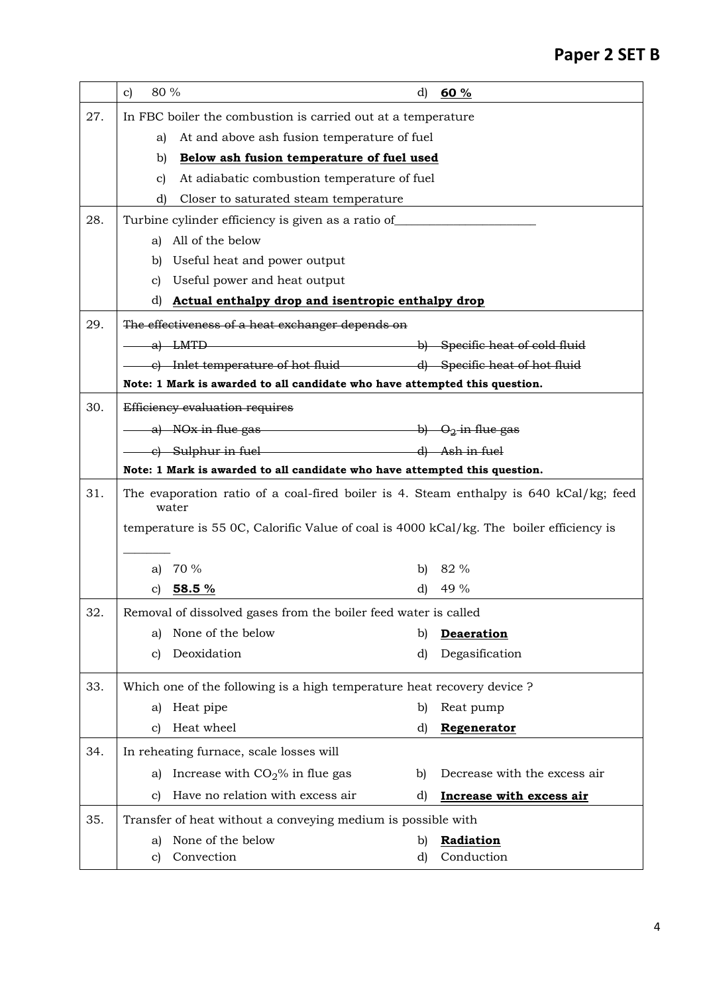|     | 80 %<br>$\mathbf{c}$                                                                            | $\mathbf{d}$ | 60 %                            |  |  |
|-----|-------------------------------------------------------------------------------------------------|--------------|---------------------------------|--|--|
| 27. | In FBC boiler the combustion is carried out at a temperature                                    |              |                                 |  |  |
|     | At and above ash fusion temperature of fuel<br>a)                                               |              |                                 |  |  |
|     | Below ash fusion temperature of fuel used<br>b)                                                 |              |                                 |  |  |
|     | At adiabatic combustion temperature of fuel<br>c)                                               |              |                                 |  |  |
|     | Closer to saturated steam temperature<br>d)                                                     |              |                                 |  |  |
| 28. | Turbine cylinder efficiency is given as a ratio of______________________________                |              |                                 |  |  |
|     | All of the below<br>a)                                                                          |              |                                 |  |  |
|     | Useful heat and power output<br>b)                                                              |              |                                 |  |  |
|     | Useful power and heat output<br>c)                                                              |              |                                 |  |  |
|     | Actual enthalpy drop and isentropic enthalpy drop<br>d)                                         |              |                                 |  |  |
| 29. | The effectiveness of a heat exchanger depends on                                                |              |                                 |  |  |
|     | a) LMTD b) Specific heat of cold fluid                                                          |              |                                 |  |  |
|     | c) Inlet temperature of hot fluid and all Specific heat of hot fluid                            |              |                                 |  |  |
|     | Note: 1 Mark is awarded to all candidate who have attempted this question.                      |              |                                 |  |  |
| 30. | Efficiency evaluation requires                                                                  |              |                                 |  |  |
|     | a) NOx in flue gas $\overline{b}$ b) $O_2$ in flue gas                                          |              |                                 |  |  |
|     | c) Sulphur in fuel and the substitution of the Sulphur in fuel                                  |              |                                 |  |  |
|     | Note: 1 Mark is awarded to all candidate who have attempted this question.                      |              |                                 |  |  |
| 31. | The evaporation ratio of a coal-fired boiler is 4. Steam enthalpy is 640 kCal/kg; feed<br>water |              |                                 |  |  |
|     | temperature is 55 0C, Calorific Value of coal is 4000 kCal/kg. The boiler efficiency is         |              |                                 |  |  |
|     | a) $70\%$                                                                                       |              | b) $82\%$                       |  |  |
|     | c) 58.5 $%$                                                                                     | $\mathbf{d}$ | 49 %                            |  |  |
| 32. | Removal of dissolved gases from the boiler feed water is called                                 |              |                                 |  |  |
|     | None of the below<br>a)                                                                         | b)           | <b>Deaeration</b>               |  |  |
|     | Deoxidation<br>c)                                                                               | d)           | Degasification                  |  |  |
| 33. | Which one of the following is a high temperature heat recovery device ?                         |              |                                 |  |  |
|     | Heat pipe<br>a)                                                                                 | b)           | Reat pump                       |  |  |
|     | Heat wheel<br>C)                                                                                | d)           | Regenerator                     |  |  |
| 34. | In reheating furnace, scale losses will                                                         |              |                                 |  |  |
|     | Increase with $CO2%$ in flue gas<br>a)                                                          | b)           | Decrease with the excess air    |  |  |
|     | Have no relation with excess air<br>c)                                                          | d)           | <b>Increase with excess air</b> |  |  |
| 35. | Transfer of heat without a conveying medium is possible with                                    |              |                                 |  |  |
|     | None of the below<br>a)                                                                         | b)           | Radiation                       |  |  |
|     | Convection<br>C)                                                                                | d)           | Conduction                      |  |  |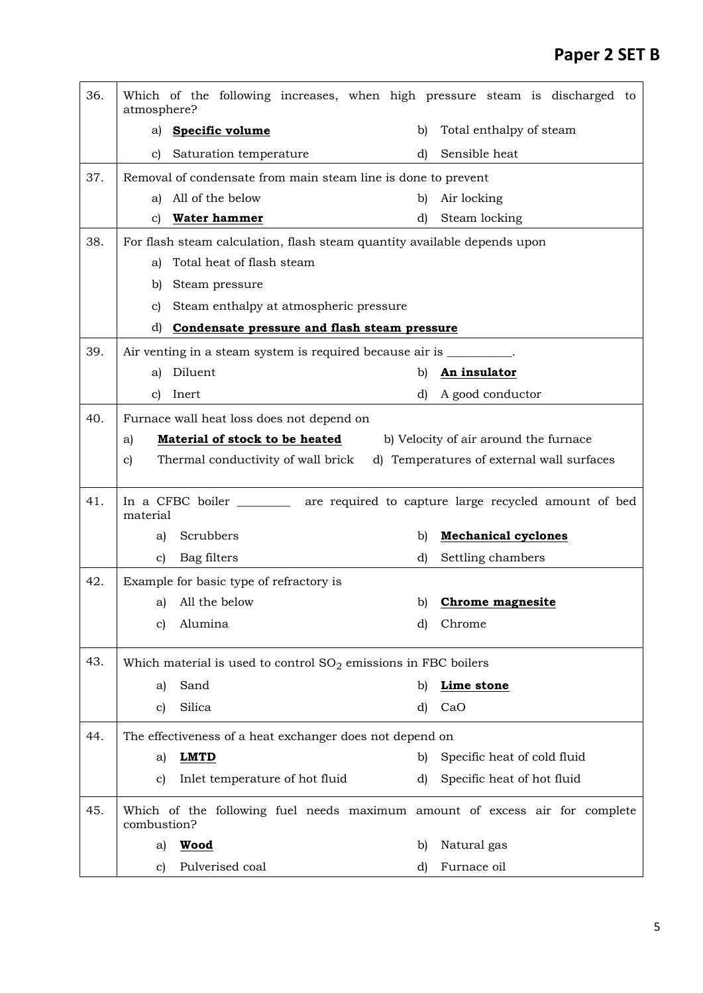| 36. | Which of the following increases, when high pressure steam is discharged to<br>atmosphere? |                                                      |  |  |
|-----|--------------------------------------------------------------------------------------------|------------------------------------------------------|--|--|
|     | Specific volume<br>a)                                                                      | Total enthalpy of steam<br>b)                        |  |  |
|     | Saturation temperature<br>C)                                                               | Sensible heat<br>d)                                  |  |  |
| 37. | Removal of condensate from main steam line is done to prevent                              |                                                      |  |  |
|     | All of the below<br>a)                                                                     | Air locking<br>b)                                    |  |  |
|     | Water hammer<br>c)                                                                         | Steam locking<br>d)                                  |  |  |
| 38. | For flash steam calculation, flash steam quantity available depends upon                   |                                                      |  |  |
|     | Total heat of flash steam<br>a)                                                            |                                                      |  |  |
|     | Steam pressure<br>b)                                                                       |                                                      |  |  |
|     | Steam enthalpy at atmospheric pressure<br>c)                                               |                                                      |  |  |
|     | d)<br>Condensate pressure and flash steam pressure                                         |                                                      |  |  |
| 39. | Air venting in a steam system is required because air is _________.                        |                                                      |  |  |
|     | Diluent<br>a)                                                                              | b)<br>An insulator                                   |  |  |
|     | Inert<br>C)                                                                                | d)<br>A good conductor                               |  |  |
| 40. | Furnace wall heat loss does not depend on                                                  |                                                      |  |  |
|     | Material of stock to be heated<br>b) Velocity of air around the furnace<br>a)              |                                                      |  |  |
|     | Thermal conductivity of wall brick<br>C)                                                   | d) Temperatures of external wall surfaces            |  |  |
|     |                                                                                            |                                                      |  |  |
| 41. | In a CFBC boiler<br>material                                                               | are required to capture large recycled amount of bed |  |  |
|     | Scrubbers<br>a)                                                                            | <b>Mechanical cyclones</b><br>b)                     |  |  |
|     | Bag filters<br>C)                                                                          | Settling chambers<br>d)                              |  |  |
| 42. | Example for basic type of refractory is                                                    |                                                      |  |  |
|     | All the below<br>a)                                                                        | <b>Chrome magnesite</b><br>b)                        |  |  |
|     | Alumina<br>c)                                                                              | Chrome<br>d)                                         |  |  |
| 43. | Which material is used to control $SO_2$ emissions in FBC boilers                          |                                                      |  |  |
|     | Sand<br>a)                                                                                 | Lime stone<br>b)                                     |  |  |
|     | Silica<br>C)                                                                               | d)<br>CaO                                            |  |  |
| 44. | The effectiveness of a heat exchanger does not depend on                                   |                                                      |  |  |
|     | <b>LMTD</b><br>a)                                                                          | Specific heat of cold fluid<br>b)                    |  |  |
|     | Inlet temperature of hot fluid<br>C)                                                       | Specific heat of hot fluid<br>d)                     |  |  |
| 45. | Which of the following fuel needs maximum amount of excess air for complete<br>combustion? |                                                      |  |  |
|     |                                                                                            |                                                      |  |  |
|     | <b>Wood</b><br>a)                                                                          | Natural gas<br>b)                                    |  |  |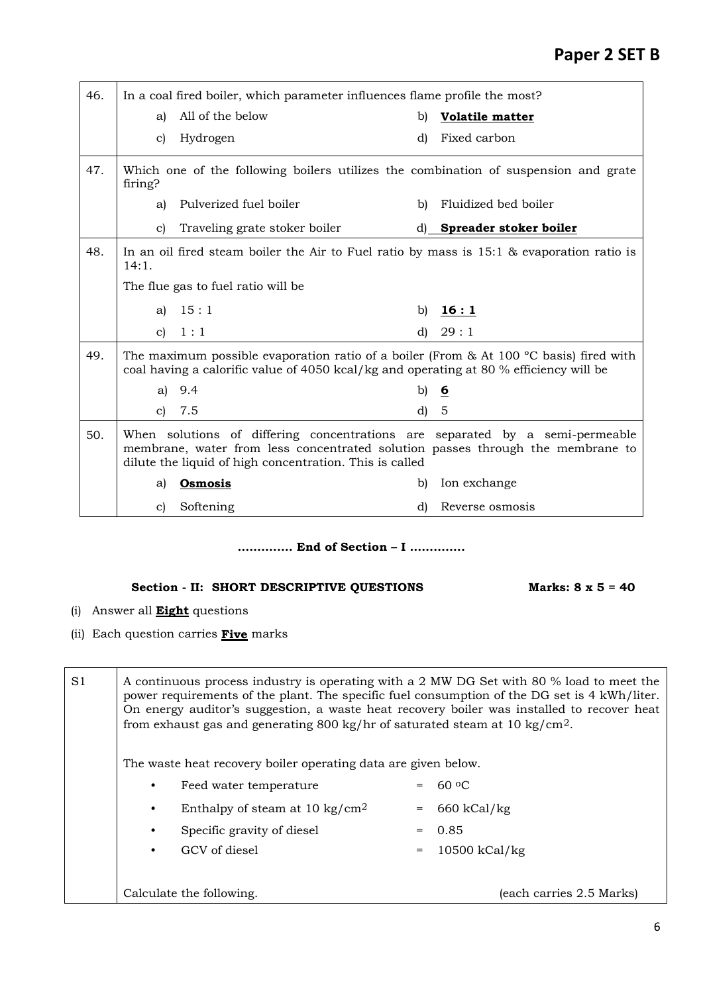| 46. | In a coal fired boiler, which parameter influences flame profile the most? |                                                                                                                                                                                                                           |                              |                           |  |
|-----|----------------------------------------------------------------------------|---------------------------------------------------------------------------------------------------------------------------------------------------------------------------------------------------------------------------|------------------------------|---------------------------|--|
|     | a)                                                                         | All of the below                                                                                                                                                                                                          | b)<br><b>Volatile matter</b> |                           |  |
|     | $\mathbf{c}$                                                               | Hydrogen                                                                                                                                                                                                                  | d)                           | Fixed carbon              |  |
| 47. | firing?                                                                    | Which one of the following boilers utilizes the combination of suspension and grate                                                                                                                                       |                              |                           |  |
|     | a)                                                                         | Pulverized fuel boiler                                                                                                                                                                                                    | b)                           | Fluidized bed boiler      |  |
|     | c)                                                                         | Traveling grate stoker boiler                                                                                                                                                                                             |                              | d) Spreader stoker boiler |  |
| 48. | 14:1.                                                                      | In an oil fired steam boiler the Air to Fuel ratio by mass is $15:1$ & evaporation ratio is                                                                                                                               |                              |                           |  |
|     |                                                                            | The flue gas to fuel ratio will be                                                                                                                                                                                        |                              |                           |  |
|     | a)                                                                         | 15:1                                                                                                                                                                                                                      | b)                           | 16:1                      |  |
|     | $\mathbf{C}$                                                               | 1:1                                                                                                                                                                                                                       | d)                           | 29:1                      |  |
| 49. |                                                                            | The maximum possible evaporation ratio of a boiler (From & At 100 $^{\circ}$ C basis) fired with<br>coal having a calorific value of 4050 kcal/kg and operating at 80 % efficiency will be                                |                              |                           |  |
|     | a)                                                                         | 9.4                                                                                                                                                                                                                       |                              | b) $6$                    |  |
|     | C)                                                                         | 7.5                                                                                                                                                                                                                       | d)                           | $-5$                      |  |
| 50. |                                                                            | When solutions of differing concentrations are separated by a semi-permeable<br>membrane, water from less concentrated solution passes through the membrane to<br>dilute the liquid of high concentration. This is called |                              |                           |  |
|     | a)                                                                         | <b>Osmosis</b>                                                                                                                                                                                                            | b)                           | Ion exchange              |  |
|     | C)                                                                         | Softening                                                                                                                                                                                                                 | d)                           | Reverse osmosis           |  |

## **…….……. End of Section – I ……….….**

## Section - II: SHORT DESCRIPTIVE QUESTIONS Marks: 8 x 5 = 40

- (i) Answer all **Eight** questions
- (ii) Each question carries **Five** marks

| S <sub>1</sub> | A continuous process industry is operating with a 2 MW DG Set with 80 % load to meet the<br>power requirements of the plant. The specific fuel consumption of the DG set is 4 kWh/liter.<br>On energy auditor's suggestion, a waste heat recovery boiler was installed to recover heat<br>from exhaust gas and generating 800 kg/hr of saturated steam at 10 kg/cm <sup>2</sup> . |                                                                |                 |               |  |
|----------------|-----------------------------------------------------------------------------------------------------------------------------------------------------------------------------------------------------------------------------------------------------------------------------------------------------------------------------------------------------------------------------------|----------------------------------------------------------------|-----------------|---------------|--|
|                |                                                                                                                                                                                                                                                                                                                                                                                   | The waste heat recovery boiler operating data are given below. |                 |               |  |
|                | $60 \text{ }^{\circ}$<br>Feed water temperature                                                                                                                                                                                                                                                                                                                                   |                                                                |                 |               |  |
|                | Enthalpy of steam at 10 kg/cm <sup>2</sup>                                                                                                                                                                                                                                                                                                                                        |                                                                | $=$             | $660$ kCal/kg |  |
|                |                                                                                                                                                                                                                                                                                                                                                                                   | Specific gravity of diesel                                     | $=$             | 0.85          |  |
|                |                                                                                                                                                                                                                                                                                                                                                                                   | GCV of diesel                                                  | $10500$ kCal/kg |               |  |
|                |                                                                                                                                                                                                                                                                                                                                                                                   |                                                                |                 |               |  |
|                | Calculate the following.<br>(each carries 2.5 Marks)                                                                                                                                                                                                                                                                                                                              |                                                                |                 |               |  |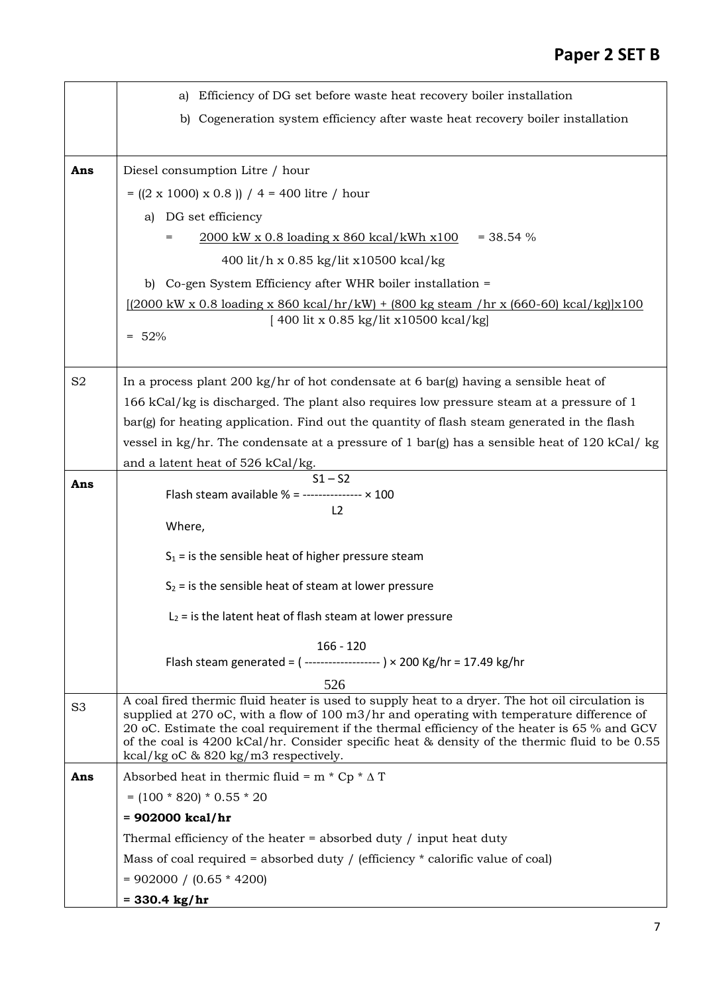|                | Efficiency of DG set before waste heat recovery boiler installation<br>a)                                                                                                                                                                                                                                                                                                                                                             |
|----------------|---------------------------------------------------------------------------------------------------------------------------------------------------------------------------------------------------------------------------------------------------------------------------------------------------------------------------------------------------------------------------------------------------------------------------------------|
|                | b) Cogeneration system efficiency after waste heat recovery boiler installation                                                                                                                                                                                                                                                                                                                                                       |
|                |                                                                                                                                                                                                                                                                                                                                                                                                                                       |
| Ans            | Diesel consumption Litre / hour                                                                                                                                                                                                                                                                                                                                                                                                       |
|                | $= ((2 \times 1000) \times 0.8)) / 4 = 400$ litre / hour                                                                                                                                                                                                                                                                                                                                                                              |
|                | DG set efficiency<br>a)                                                                                                                                                                                                                                                                                                                                                                                                               |
|                | 2000 kW x 0.8 loading x 860 kcal/kWh x100<br>$=$ 38.54 %                                                                                                                                                                                                                                                                                                                                                                              |
|                | 400 lit/h x 0.85 kg/lit x 10500 kcal/kg                                                                                                                                                                                                                                                                                                                                                                                               |
|                | b) Co-gen System Efficiency after WHR boiler installation =                                                                                                                                                                                                                                                                                                                                                                           |
|                | $[(2000 \text{ kW} \times 0.8 \text{ loading} \times 860 \text{ kcal/hr/kW}) + (800 \text{ kg steam/hr} \times (660-60) \text{ kcal/kg}](x100$                                                                                                                                                                                                                                                                                        |
|                | [400 lit x 0.85 kg/lit x10500 kcal/kg]                                                                                                                                                                                                                                                                                                                                                                                                |
|                | $= 52%$                                                                                                                                                                                                                                                                                                                                                                                                                               |
|                |                                                                                                                                                                                                                                                                                                                                                                                                                                       |
| S <sub>2</sub> | In a process plant 200 kg/hr of hot condensate at 6 bar(g) having a sensible heat of                                                                                                                                                                                                                                                                                                                                                  |
|                | 166 kCal/kg is discharged. The plant also requires low pressure steam at a pressure of 1                                                                                                                                                                                                                                                                                                                                              |
|                | bar(g) for heating application. Find out the quantity of flash steam generated in the flash                                                                                                                                                                                                                                                                                                                                           |
|                | vessel in kg/hr. The condensate at a pressure of 1 bar(g) has a sensible heat of 120 kCal/ kg                                                                                                                                                                                                                                                                                                                                         |
|                | and a latent heat of 526 kCal/kg.<br>$S1 - S2$                                                                                                                                                                                                                                                                                                                                                                                        |
| Ans            | Flash steam available % = --------------- $\times$ 100                                                                                                                                                                                                                                                                                                                                                                                |
|                | L <sub>2</sub>                                                                                                                                                                                                                                                                                                                                                                                                                        |
|                | Where,                                                                                                                                                                                                                                                                                                                                                                                                                                |
|                | $S_1$ = is the sensible heat of higher pressure steam                                                                                                                                                                                                                                                                                                                                                                                 |
|                | $S_2$ = is the sensible heat of steam at lower pressure                                                                                                                                                                                                                                                                                                                                                                               |
|                | $L_2$ = is the latent heat of flash steam at lower pressure                                                                                                                                                                                                                                                                                                                                                                           |
|                | $166 - 120$                                                                                                                                                                                                                                                                                                                                                                                                                           |
|                | Flash steam generated = $($ ------------------- $) \times 200$ Kg/hr = 17.49 kg/hr                                                                                                                                                                                                                                                                                                                                                    |
|                | 526                                                                                                                                                                                                                                                                                                                                                                                                                                   |
| S <sub>3</sub> | A coal fired thermic fluid heater is used to supply heat to a dryer. The hot oil circulation is<br>supplied at 270 oC, with a flow of 100 m3/hr and operating with temperature difference of<br>20 oC. Estimate the coal requirement if the thermal efficiency of the heater is 65 % and GCV<br>of the coal is 4200 kCal/hr. Consider specific heat & density of the thermic fluid to be 0.55<br>kcal/kg oC & 820 kg/m3 respectively. |
| Ans            | Absorbed heat in thermic fluid = $m * Cp * \Delta T$                                                                                                                                                                                                                                                                                                                                                                                  |
|                | $= (100 * 820) * 0.55 * 20$                                                                                                                                                                                                                                                                                                                                                                                                           |
|                | $= 902000$ kcal/hr                                                                                                                                                                                                                                                                                                                                                                                                                    |
|                | Thermal efficiency of the heater $=$ absorbed duty $/$ input heat duty                                                                                                                                                                                                                                                                                                                                                                |
|                | Mass of coal required = absorbed duty / (efficiency $*$ calorific value of coal)                                                                                                                                                                                                                                                                                                                                                      |
|                | $= 902000 / (0.65 * 4200)$                                                                                                                                                                                                                                                                                                                                                                                                            |
|                | $= 330.4 \text{ kg/hr}$                                                                                                                                                                                                                                                                                                                                                                                                               |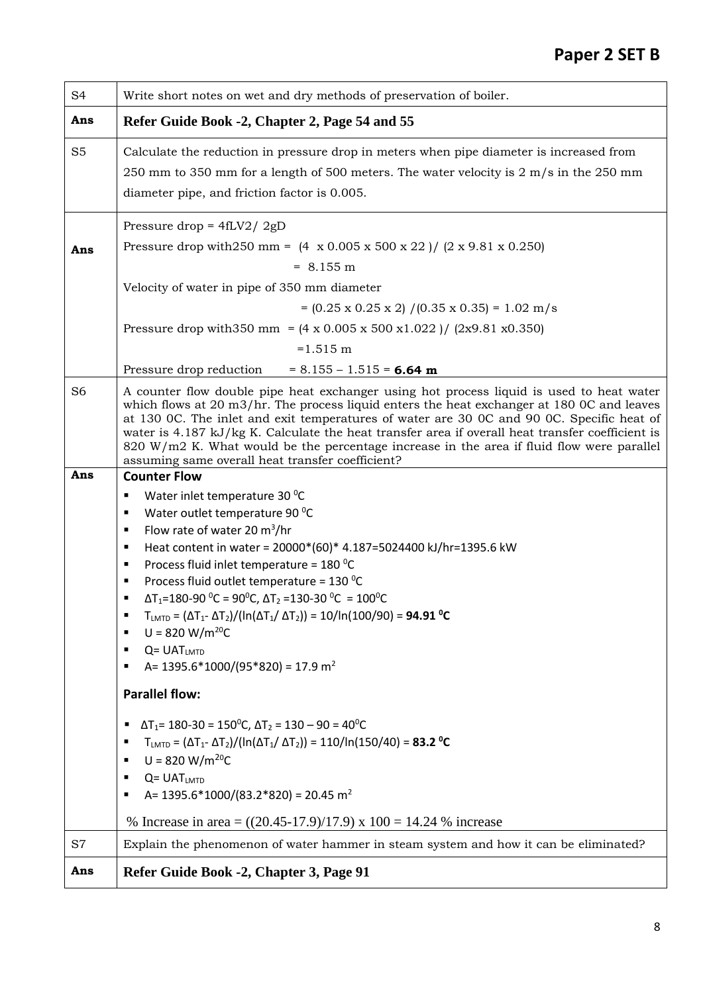| S <sub>4</sub> | Write short notes on wet and dry methods of preservation of boiler.                                                                                                                                                                                                                                                                                                                                                                                                                                                                                                                                                                                                                                                                                                                                                                                                                                                                                                                                                                                                                                                                                                             |
|----------------|---------------------------------------------------------------------------------------------------------------------------------------------------------------------------------------------------------------------------------------------------------------------------------------------------------------------------------------------------------------------------------------------------------------------------------------------------------------------------------------------------------------------------------------------------------------------------------------------------------------------------------------------------------------------------------------------------------------------------------------------------------------------------------------------------------------------------------------------------------------------------------------------------------------------------------------------------------------------------------------------------------------------------------------------------------------------------------------------------------------------------------------------------------------------------------|
| Ans            | Refer Guide Book -2, Chapter 2, Page 54 and 55                                                                                                                                                                                                                                                                                                                                                                                                                                                                                                                                                                                                                                                                                                                                                                                                                                                                                                                                                                                                                                                                                                                                  |
| S <sub>5</sub> | Calculate the reduction in pressure drop in meters when pipe diameter is increased from<br>250 mm to 350 mm for a length of 500 meters. The water velocity is $2 \text{ m/s}$ in the 250 mm<br>diameter pipe, and friction factor is 0.005.                                                                                                                                                                                                                                                                                                                                                                                                                                                                                                                                                                                                                                                                                                                                                                                                                                                                                                                                     |
| Ans            | Pressure drop = $4fLV2/2gD$<br>Pressure drop with 250 mm = $(4 \times 0.005 \times 500 \times 22) / (2 \times 9.81 \times 0.250)$<br>$= 8.155 \text{ m}$<br>Velocity of water in pipe of 350 mm diameter<br>$= (0.25 \times 0.25 \times 2) / (0.35 \times 0.35) = 1.02 \text{ m/s}$<br>Pressure drop with 350 mm = $(4 \times 0.005 \times 500 \times 1.022) / (2 \times 9.81 \times 0.350)$<br>$=1.515$ m                                                                                                                                                                                                                                                                                                                                                                                                                                                                                                                                                                                                                                                                                                                                                                      |
|                | Pressure drop reduction<br>$= 8.155 - 1.515 = 6.64$ m                                                                                                                                                                                                                                                                                                                                                                                                                                                                                                                                                                                                                                                                                                                                                                                                                                                                                                                                                                                                                                                                                                                           |
| S <sub>6</sub> | A counter flow double pipe heat exchanger using hot process liquid is used to heat water<br>which flows at 20 m3/hr. The process liquid enters the heat exchanger at 180 0C and leaves<br>at 130 0C. The inlet and exit temperatures of water are 30 0C and 90 0C. Specific heat of<br>water is 4.187 kJ/kg K. Calculate the heat transfer area if overall heat transfer coefficient is<br>820 W/m2 K. What would be the percentage increase in the area if fluid flow were parallel<br>assuming same overall heat transfer coefficient?                                                                                                                                                                                                                                                                                                                                                                                                                                                                                                                                                                                                                                        |
| Ans            | <b>Counter Flow</b>                                                                                                                                                                                                                                                                                                                                                                                                                                                                                                                                                                                                                                                                                                                                                                                                                                                                                                                                                                                                                                                                                                                                                             |
|                | Water inlet temperature 30 °C<br>٠<br>Water outlet temperature 90 °C<br>٠<br>Flow rate of water 20 $m^3/hr$<br>٠<br>Heat content in water = 20000*(60)* 4.187=5024400 kJ/hr=1395.6 kW<br>٠<br>Process fluid inlet temperature = 180 °C<br>٠<br>Process fluid outlet temperature = $130\,^0C$<br>٠<br>$\Delta$ T <sub>1</sub> =180-90 <sup>o</sup> C = 90 <sup>o</sup> C, $\Delta$ T <sub>2</sub> = 130-30 <sup>o</sup> C = 100 <sup>o</sup> C<br>٠<br>$T_{\text{LMTD}} = (\Delta T_{1} - \Delta T_{2}) / (\ln(\Delta T_{1}/ \Delta T_{2})) = 10 / \ln(100/90) = 94.91 \text{ °C}$<br>$U = 820 W/m^{20}C$<br>٠<br>$Q = UAT$ <sub>LMTD</sub><br>٠<br>A= $1395.6*1000/(95*820) = 17.9$ m <sup>2</sup><br>٠<br><b>Parallel flow:</b><br>$\Delta$ T <sub>1</sub> = 180-30 = 150 <sup>o</sup> C, $\Delta$ T <sub>2</sub> = 130 – 90 = 40 <sup>o</sup> C<br>٠<br>$T_{\text{LMTD}} = (\Delta T_{1} - \Delta T_{2}) / (\ln(\Delta T_{1}/ \Delta T_{2})) = 110 / \ln(150/40) = 83.2 °C$<br>п<br>$U = 820 W/m^{20}C$<br>٠<br>$Q = UAT$ <sub>LMTD</sub><br>٠<br>A= $1395.6*1000/(83.2*820) = 20.45 \text{ m}^2$<br>٠<br>% Increase in area = $((20.45-17.9)/17.9)$ x 100 = 14.24 % increase |
| S7             | Explain the phenomenon of water hammer in steam system and how it can be eliminated?                                                                                                                                                                                                                                                                                                                                                                                                                                                                                                                                                                                                                                                                                                                                                                                                                                                                                                                                                                                                                                                                                            |
| Ans            | Refer Guide Book -2, Chapter 3, Page 91                                                                                                                                                                                                                                                                                                                                                                                                                                                                                                                                                                                                                                                                                                                                                                                                                                                                                                                                                                                                                                                                                                                                         |
|                |                                                                                                                                                                                                                                                                                                                                                                                                                                                                                                                                                                                                                                                                                                                                                                                                                                                                                                                                                                                                                                                                                                                                                                                 |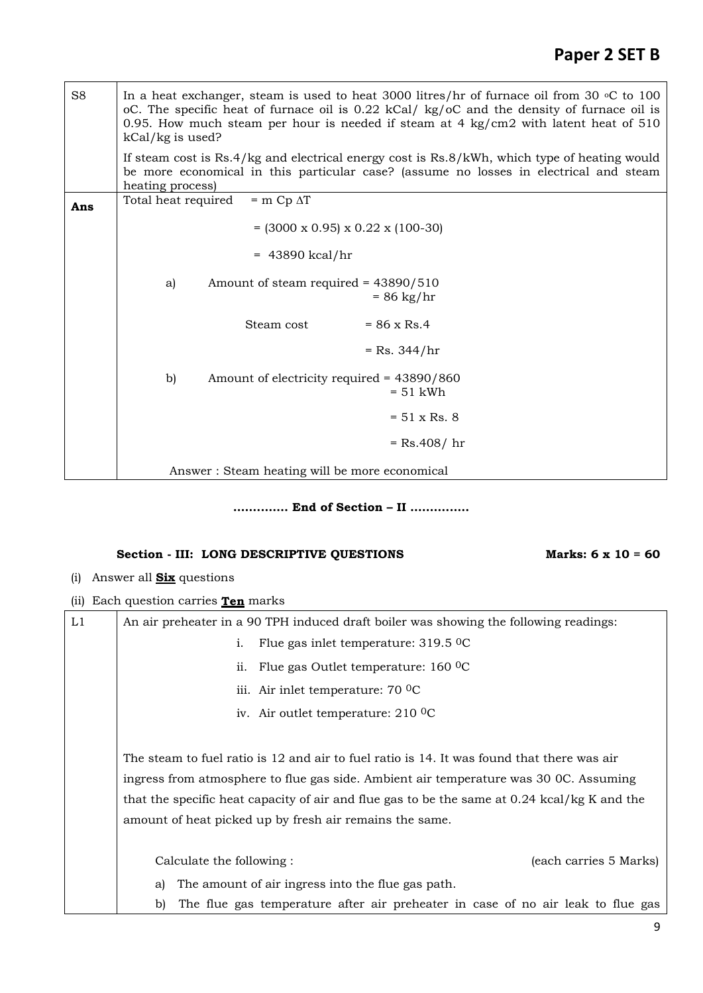# **Paper 2 SET B**

| S <sub>8</sub> | In a heat exchanger, steam is used to heat 3000 litres/hr of furnace oil from 30 $\circ$ C to 100<br>oC. The specific heat of furnace oil is 0.22 kCal/ kg/oC and the density of furnace oil is<br>0.95. How much steam per hour is needed if steam at 4 $\text{kg/cm2}$ with latent heat of 510<br>kCal/kg is used? |  |  |  |
|----------------|----------------------------------------------------------------------------------------------------------------------------------------------------------------------------------------------------------------------------------------------------------------------------------------------------------------------|--|--|--|
|                | If steam cost is Rs.4/kg and electrical energy cost is Rs.8/kWh, which type of heating would<br>be more economical in this particular case? (assume no losses in electrical and steam<br>heating process)                                                                                                            |  |  |  |
| Ans            | Total heat required<br>$=$ m Cp $\Delta T$                                                                                                                                                                                                                                                                           |  |  |  |
|                | $= (3000 \times 0.95) \times 0.22 \times (100-30)$                                                                                                                                                                                                                                                                   |  |  |  |
|                | $= 43890$ kcal/hr                                                                                                                                                                                                                                                                                                    |  |  |  |
|                | Amount of steam required = $43890/510$<br>a)<br>$= 86 \text{ kg/hr}$                                                                                                                                                                                                                                                 |  |  |  |
|                | Steam cost<br>$= 86 \times$ Rs.4                                                                                                                                                                                                                                                                                     |  |  |  |
|                | $=$ Rs. 344/hr                                                                                                                                                                                                                                                                                                       |  |  |  |
|                | b)<br>Amount of electricity required = 43890/860<br>$= 51$ kWh                                                                                                                                                                                                                                                       |  |  |  |
|                | $= 51 \times Rs. 8$                                                                                                                                                                                                                                                                                                  |  |  |  |
|                | $=$ Rs.408/ hr                                                                                                                                                                                                                                                                                                       |  |  |  |
|                | Answer: Steam heating will be more economical                                                                                                                                                                                                                                                                        |  |  |  |

### **…….……. End of Section – II ………..….**

## Section - **III:** LONG DESCRIPTIVE QUESTIONS Marks: 6 x 10 = 60

- (i) Answer all **Six** questions
- (ii) Each question carries **Ten** marks

| L1 |                                                                                            | An air preheater in a 90 TPH induced draft boiler was showing the following readings: |                                                                                              |                        |  |
|----|--------------------------------------------------------------------------------------------|---------------------------------------------------------------------------------------|----------------------------------------------------------------------------------------------|------------------------|--|
|    |                                                                                            | i.                                                                                    | Flue gas inlet temperature: $319.5 \degree$ C                                                |                        |  |
|    |                                                                                            |                                                                                       | ii. Flue gas Outlet temperature: $160\degree$ C                                              |                        |  |
|    |                                                                                            |                                                                                       | iii. Air inlet temperature: 70 <sup>o</sup> C                                                |                        |  |
|    |                                                                                            |                                                                                       | iv. Air outlet temperature: $210\,^{\circ}\mathrm{C}$                                        |                        |  |
|    |                                                                                            |                                                                                       |                                                                                              |                        |  |
|    | The steam to fuel ratio is 12 and air to fuel ratio is 14. It was found that there was air |                                                                                       |                                                                                              |                        |  |
|    | ingress from atmosphere to flue gas side. Ambient air temperature was 30 OC. Assuming      |                                                                                       |                                                                                              |                        |  |
|    |                                                                                            |                                                                                       | that the specific heat capacity of air and flue gas to be the same at 0.24 kcal/kg K and the |                        |  |
|    | amount of heat picked up by fresh air remains the same.                                    |                                                                                       |                                                                                              |                        |  |
|    |                                                                                            |                                                                                       |                                                                                              |                        |  |
|    |                                                                                            | Calculate the following:                                                              |                                                                                              | (each carries 5 Marks) |  |
|    | a)                                                                                         |                                                                                       | The amount of air ingress into the flue gas path.                                            |                        |  |
|    | b)                                                                                         |                                                                                       | The flue gas temperature after air preheater in case of no air leak to flue gas              |                        |  |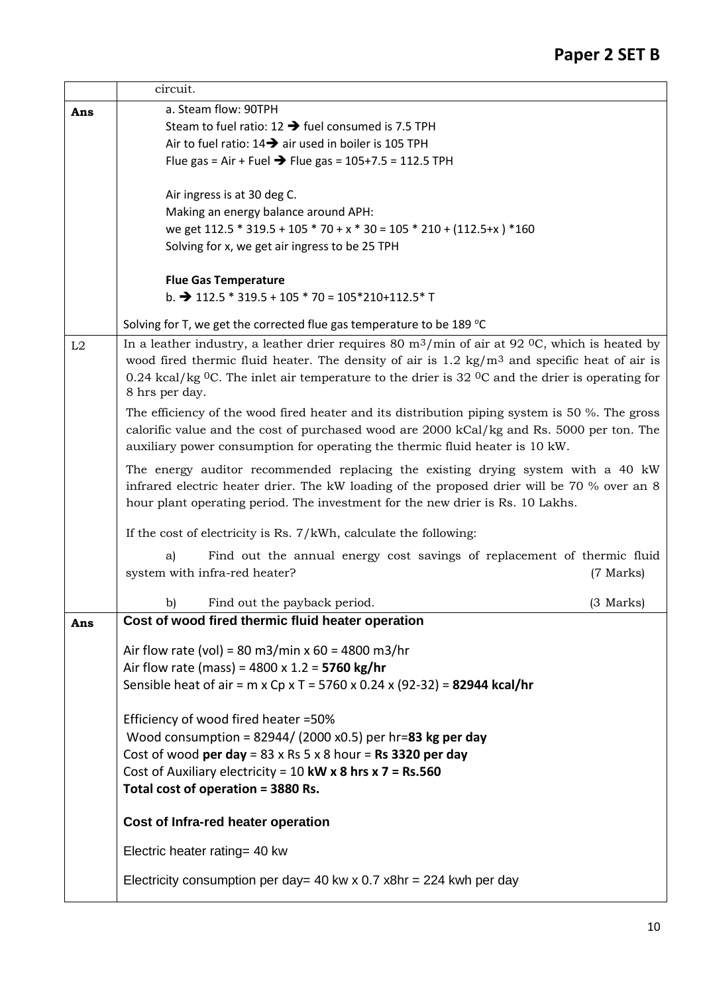|                                                                                  | circuit.                                                                                                                         |             |  |  |  |  |
|----------------------------------------------------------------------------------|----------------------------------------------------------------------------------------------------------------------------------|-------------|--|--|--|--|
| Ans                                                                              | a. Steam flow: 90TPH                                                                                                             |             |  |  |  |  |
|                                                                                  | Steam to fuel ratio: $12 \rightarrow$ fuel consumed is 7.5 TPH                                                                   |             |  |  |  |  |
|                                                                                  | Air to fuel ratio: $14 \rightarrow$ air used in boiler is 105 TPH                                                                |             |  |  |  |  |
|                                                                                  | Flue gas = Air + Fuel → Flue gas = $105+7.5 = 112.5$ TPH                                                                         |             |  |  |  |  |
|                                                                                  | Air ingress is at 30 deg C.                                                                                                      |             |  |  |  |  |
|                                                                                  | Making an energy balance around APH:                                                                                             |             |  |  |  |  |
|                                                                                  | we get 112.5 * 319.5 + 105 * 70 + x * 30 = 105 * 210 + (112.5+x) * 160                                                           |             |  |  |  |  |
|                                                                                  | Solving for x, we get air ingress to be 25 TPH                                                                                   |             |  |  |  |  |
|                                                                                  | <b>Flue Gas Temperature</b>                                                                                                      |             |  |  |  |  |
|                                                                                  | b. $\rightarrow$ 112.5 $*$ 319.5 + 105 $*$ 70 = 105 $*$ 210+112.5 $*$ T                                                          |             |  |  |  |  |
|                                                                                  | Solving for T, we get the corrected flue gas temperature to be 189 °C                                                            |             |  |  |  |  |
| L2                                                                               | In a leather industry, a leather drier requires 80 $\rm m^3/min$ of air at 92 °C, which is heated by                             |             |  |  |  |  |
|                                                                                  | wood fired thermic fluid heater. The density of air is 1.2 kg/m <sup>3</sup> and specific heat of air is                         |             |  |  |  |  |
|                                                                                  | 0.24 kcal/kg ${}^{0}C$ . The inlet air temperature to the drier is 32 ${}^{0}C$ and the drier is operating for<br>8 hrs per day. |             |  |  |  |  |
|                                                                                  | The efficiency of the wood fired heater and its distribution piping system is 50 %. The gross                                    |             |  |  |  |  |
|                                                                                  | calorific value and the cost of purchased wood are 2000 kCal/kg and Rs. 5000 per ton. The                                        |             |  |  |  |  |
|                                                                                  | auxiliary power consumption for operating the thermic fluid heater is 10 kW.                                                     |             |  |  |  |  |
| The energy auditor recommended replacing the existing drying system with a 40 kW |                                                                                                                                  |             |  |  |  |  |
|                                                                                  | infrared electric heater drier. The kW loading of the proposed drier will be 70 % over an 8                                      |             |  |  |  |  |
|                                                                                  | hour plant operating period. The investment for the new drier is Rs. 10 Lakhs.                                                   |             |  |  |  |  |
|                                                                                  | If the cost of electricity is Rs. 7/kWh, calculate the following:                                                                |             |  |  |  |  |
|                                                                                  | Find out the annual energy cost savings of replacement of thermic fluid<br>a)                                                    |             |  |  |  |  |
|                                                                                  | system with infra-red heater?                                                                                                    | (7 Marks)   |  |  |  |  |
|                                                                                  | b)<br>Find out the payback period.                                                                                               | $(3$ Marks) |  |  |  |  |
| Ans                                                                              | Cost of wood fired thermic fluid heater operation                                                                                |             |  |  |  |  |
|                                                                                  | Air flow rate (vol) = 80 m3/min x 60 = 4800 m3/hr                                                                                |             |  |  |  |  |
|                                                                                  | Air flow rate (mass) = $4800 \times 1.2 = 5760$ kg/hr                                                                            |             |  |  |  |  |
|                                                                                  | Sensible heat of air = $m \times Cp \times T = 5760 \times 0.24 \times (92-32) = 82944 \text{ kcal/hr}$                          |             |  |  |  |  |
|                                                                                  | Efficiency of wood fired heater =50%                                                                                             |             |  |  |  |  |
|                                                                                  | Wood consumption = $82944/$ (2000 x0.5) per hr=83 kg per day                                                                     |             |  |  |  |  |
|                                                                                  | Cost of wood per day = $83 \times$ Rs 5 $\times$ 8 hour = Rs 3320 per day                                                        |             |  |  |  |  |
|                                                                                  | Cost of Auxiliary electricity = 10 kW x 8 hrs x $7 = Rs.560$                                                                     |             |  |  |  |  |
|                                                                                  | Total cost of operation = 3880 Rs.                                                                                               |             |  |  |  |  |
|                                                                                  | Cost of Infra-red heater operation                                                                                               |             |  |  |  |  |
|                                                                                  | Electric heater rating= 40 kw                                                                                                    |             |  |  |  |  |
|                                                                                  | Electricity consumption per day= 40 kw x $0.7$ x8hr = 224 kwh per day                                                            |             |  |  |  |  |
|                                                                                  |                                                                                                                                  |             |  |  |  |  |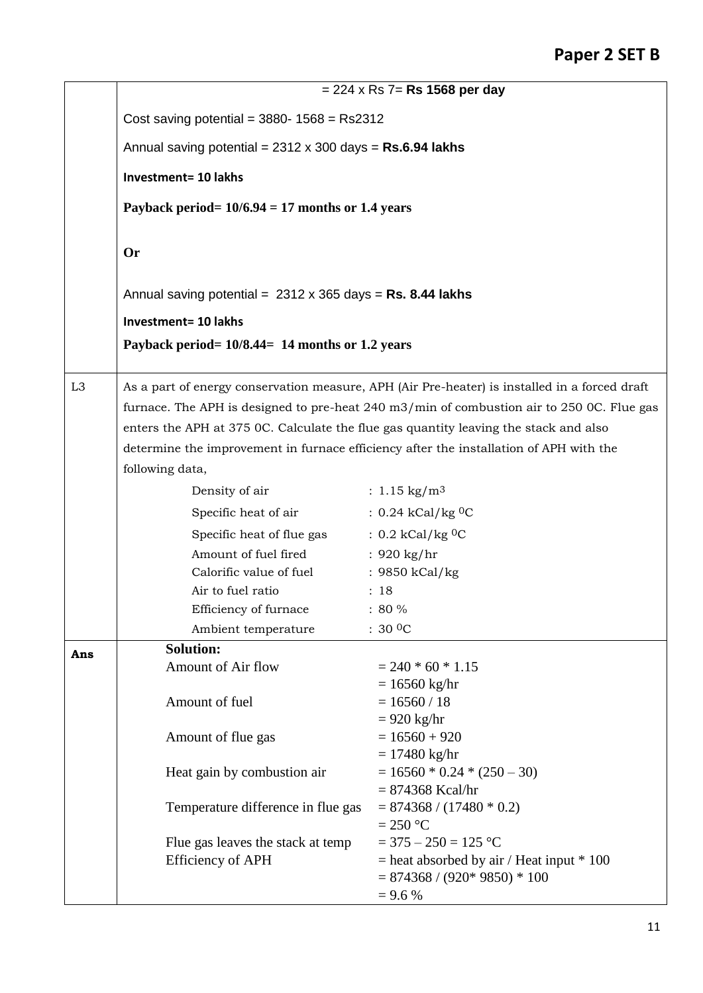|                | $= 224 \times$ Rs 7= Rs 1568 per day                                                                                                                                                                        |                                               |  |  |
|----------------|-------------------------------------------------------------------------------------------------------------------------------------------------------------------------------------------------------------|-----------------------------------------------|--|--|
|                | Cost saving potential = $3880 - 1568 =$ Rs2312<br>Annual saving potential = $2312 \times 300$ days = Rs.6.94 lakhs<br><b>Investment= 10 lakhs</b><br>Payback period= $10/6.94 = 17$ months or 1.4 years     |                                               |  |  |
|                |                                                                                                                                                                                                             |                                               |  |  |
|                |                                                                                                                                                                                                             |                                               |  |  |
|                |                                                                                                                                                                                                             |                                               |  |  |
|                |                                                                                                                                                                                                             |                                               |  |  |
|                | <b>Or</b>                                                                                                                                                                                                   |                                               |  |  |
|                | Annual saving potential = $2312 \times 365$ days = Rs. 8.44 lakhs<br><b>Investment= 10 lakhs</b>                                                                                                            |                                               |  |  |
|                |                                                                                                                                                                                                             |                                               |  |  |
|                | Payback period = $10/8.44$ = 14 months or 1.2 years                                                                                                                                                         |                                               |  |  |
|                |                                                                                                                                                                                                             |                                               |  |  |
| L <sub>3</sub> | As a part of energy conservation measure, APH (Air Pre-heater) is installed in a forced draft<br>furnace. The APH is designed to pre-heat $240 \text{ m}3/\text{min}$ of combustion air to 250 0C. Flue gas |                                               |  |  |
|                |                                                                                                                                                                                                             |                                               |  |  |
|                | enters the APH at 375 0C. Calculate the flue gas quantity leaving the stack and also                                                                                                                        |                                               |  |  |
|                | determine the improvement in furnace efficiency after the installation of APH with the                                                                                                                      |                                               |  |  |
|                | following data,                                                                                                                                                                                             |                                               |  |  |
|                | Density of air                                                                                                                                                                                              | : $1.15 \text{ kg/m}^3$                       |  |  |
|                | Specific heat of air                                                                                                                                                                                        | : $0.24$ kCal/kg <sup>0</sup> C               |  |  |
|                | Specific heat of flue gas                                                                                                                                                                                   | $: 0.2$ kCal/kg <sup>0</sup> C                |  |  |
|                | Amount of fuel fired                                                                                                                                                                                        | : $920$ kg/hr                                 |  |  |
|                | Calorific value of fuel                                                                                                                                                                                     | : 9850 kCal/kg                                |  |  |
|                | Air to fuel ratio                                                                                                                                                                                           | : 18                                          |  |  |
|                | Efficiency of furnace                                                                                                                                                                                       | $: 80 \%$                                     |  |  |
|                | Ambient temperature                                                                                                                                                                                         | : 30 O                                        |  |  |
| Ans            | <b>Solution:</b>                                                                                                                                                                                            |                                               |  |  |
|                | Amount of Air flow                                                                                                                                                                                          | $= 240 * 60 * 1.15$                           |  |  |
|                | Amount of fuel                                                                                                                                                                                              | $= 16560$ kg/hr<br>$= 16560 / 18$             |  |  |
|                |                                                                                                                                                                                                             | $= 920$ kg/hr                                 |  |  |
|                | Amount of flue gas                                                                                                                                                                                          | $= 16560 + 920$                               |  |  |
|                |                                                                                                                                                                                                             | $= 17480$ kg/hr                               |  |  |
|                | Heat gain by combustion air                                                                                                                                                                                 | $= 16560 * 0.24 * (250 - 30)$                 |  |  |
|                |                                                                                                                                                                                                             | $= 874368$ Kcal/hr                            |  |  |
|                | Temperature difference in flue gas                                                                                                                                                                          | $= 874368 / (17480 * 0.2)$<br>$= 250$ °C      |  |  |
|                | Flue gas leaves the stack at temp                                                                                                                                                                           | $=$ 375 $-$ 250 $=$ 125 °C                    |  |  |
|                | <b>Efficiency of APH</b>                                                                                                                                                                                    | $=$ heat absorbed by air / Heat input $*$ 100 |  |  |
|                |                                                                                                                                                                                                             | $= 874368 / (920*9850) * 100$                 |  |  |
|                |                                                                                                                                                                                                             | $= 9.6 %$                                     |  |  |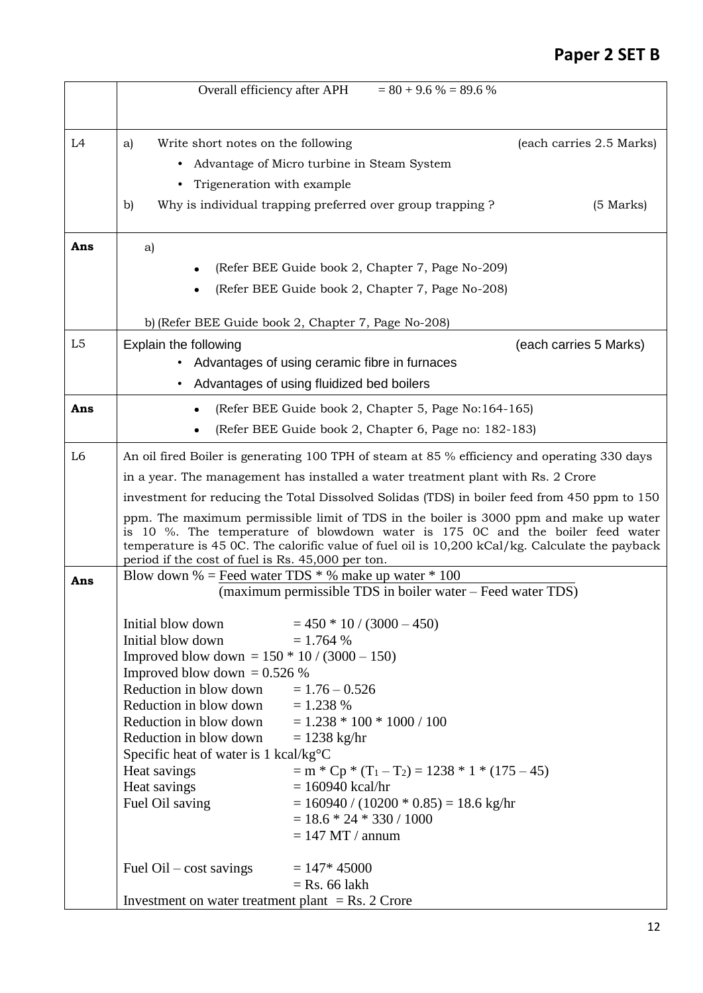# **Paper 2 SET B**

|                | Overall efficiency after APH                                                                                           | $= 80 + 9.6 % = 89.6 %$                                                                                                                                                                                                                                                   |                          |  |
|----------------|------------------------------------------------------------------------------------------------------------------------|---------------------------------------------------------------------------------------------------------------------------------------------------------------------------------------------------------------------------------------------------------------------------|--------------------------|--|
| L <sub>4</sub> | Write short notes on the following<br>a)<br>Trigeneration with example<br>٠                                            | Advantage of Micro turbine in Steam System                                                                                                                                                                                                                                | (each carries 2.5 Marks) |  |
|                | $\mathbf{b}$                                                                                                           | Why is individual trapping preferred over group trapping?                                                                                                                                                                                                                 | $(5$ Marks)              |  |
| Ans            | a)                                                                                                                     |                                                                                                                                                                                                                                                                           |                          |  |
|                |                                                                                                                        | (Refer BEE Guide book 2, Chapter 7, Page No-209)<br>(Refer BEE Guide book 2, Chapter 7, Page No-208)                                                                                                                                                                      |                          |  |
|                |                                                                                                                        | b) (Refer BEE Guide book 2, Chapter 7, Page No-208)                                                                                                                                                                                                                       |                          |  |
| L5             | Explain the following                                                                                                  |                                                                                                                                                                                                                                                                           | (each carries 5 Marks)   |  |
|                | $\bullet$                                                                                                              | Advantages of using ceramic fibre in furnaces<br>Advantages of using fluidized bed boilers                                                                                                                                                                                |                          |  |
| Ans            | (Refer BEE Guide book 2, Chapter 5, Page No:164-165)                                                                   |                                                                                                                                                                                                                                                                           |                          |  |
|                | (Refer BEE Guide book 2, Chapter 6, Page no: 182-183)                                                                  |                                                                                                                                                                                                                                                                           |                          |  |
| L <sub>6</sub> | An oil fired Boiler is generating 100 TPH of steam at 85 % efficiency and operating 330 days                           |                                                                                                                                                                                                                                                                           |                          |  |
|                | in a year. The management has installed a water treatment plant with Rs. 2 Crore                                       |                                                                                                                                                                                                                                                                           |                          |  |
|                | investment for reducing the Total Dissolved Solidas (TDS) in boiler feed from 450 ppm to 150                           |                                                                                                                                                                                                                                                                           |                          |  |
|                | period if the cost of fuel is Rs. 45,000 per ton.                                                                      | ppm. The maximum permissible limit of TDS in the boiler is 3000 ppm and make up water<br>is 10 %. The temperature of blowdown water is 175 0C and the boiler feed water<br>temperature is 45 0C. The calorific value of fuel oil is 10,200 kCal/kg. Calculate the payback |                          |  |
| Ans            | Blow down % = Feed water TDS $*$ % make up water $*$ 100<br>(maximum permissible TDS in boiler water – Feed water TDS) |                                                                                                                                                                                                                                                                           |                          |  |
|                | Initial blow down                                                                                                      | $= 450 * 10 / (3000 - 450)$                                                                                                                                                                                                                                               |                          |  |
|                | Initial blow down                                                                                                      | $= 1.764 %$                                                                                                                                                                                                                                                               |                          |  |
|                | Improved blow down = $150 * 10 / (3000 - 150)$                                                                         |                                                                                                                                                                                                                                                                           |                          |  |
|                | Improved blow down = $0.526%$<br>Reduction in blow down                                                                | $= 1.76 - 0.526$                                                                                                                                                                                                                                                          |                          |  |
|                | Reduction in blow down                                                                                                 | $= 1.238 %$                                                                                                                                                                                                                                                               |                          |  |
|                | Reduction in blow down                                                                                                 | $= 1.238 * 100 * 1000 / 100$                                                                                                                                                                                                                                              |                          |  |
|                | Reduction in blow down                                                                                                 | $= 1238$ kg/hr                                                                                                                                                                                                                                                            |                          |  |
|                | Specific heat of water is $1 \text{ kcal/kg}^{\circ}\text{C}$                                                          |                                                                                                                                                                                                                                                                           |                          |  |
|                | Heat savings<br>Heat savings                                                                                           | $=$ m $*$ Cp $*$ (T <sub>1</sub> - T <sub>2</sub> ) = 1238 $*$ 1 $*$ (175 - 45)<br>$= 160940$ kcal/hr                                                                                                                                                                     |                          |  |
|                | Fuel Oil saving                                                                                                        | $= 160940 / (10200 * 0.85) = 18.6$ kg/hr                                                                                                                                                                                                                                  |                          |  |
|                |                                                                                                                        | $= 18.6 * 24 * 330 / 1000$                                                                                                                                                                                                                                                |                          |  |
|                |                                                                                                                        | $= 147$ MT / annum                                                                                                                                                                                                                                                        |                          |  |
|                | Fuel $\text{Oil} - \text{cost}$ savings                                                                                | $= 147*45000$                                                                                                                                                                                                                                                             |                          |  |
|                |                                                                                                                        | $=$ Rs. 66 lakh                                                                                                                                                                                                                                                           |                          |  |
|                | Investment on water treatment plant $=$ Rs. 2 Crore                                                                    |                                                                                                                                                                                                                                                                           |                          |  |